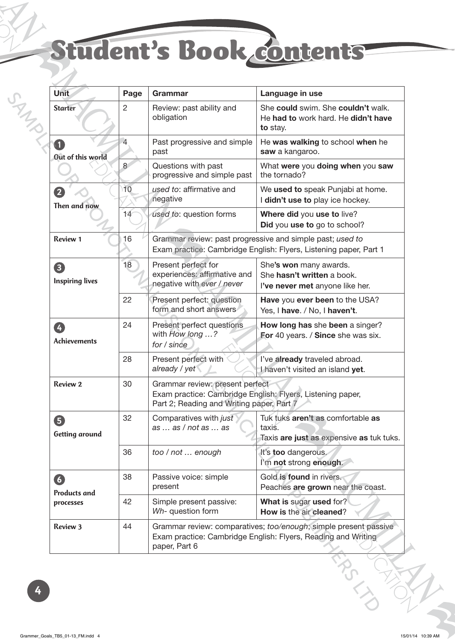## Student's Book contents

| <b>Unit</b>                           | Page           | <b>Grammar</b>                                                                                                                 | Language in use                                                                                                                   |  |
|---------------------------------------|----------------|--------------------------------------------------------------------------------------------------------------------------------|-----------------------------------------------------------------------------------------------------------------------------------|--|
| <b>Starter</b>                        | $\overline{2}$ | Review: past ability and<br>obligation                                                                                         | She could swim. She couldn't walk.<br>He had to work hard. He didn't have<br>to stay.                                             |  |
| Out of this world                     | $\overline{4}$ | Past progressive and simple<br>past                                                                                            | He was walking to school when he<br>saw a kangaroo.                                                                               |  |
|                                       | 8              | Questions with past<br>progressive and simple past                                                                             | What were you doing when you saw<br>the tornado?                                                                                  |  |
| $\mathbf{2}$<br>Then and now          | 10             | used to: affirmative and<br>negative                                                                                           | We used to speak Punjabi at home.<br>I didn't use to play ice hockey.                                                             |  |
|                                       | 14             | used to: question forms                                                                                                        | Where did you use to live?<br>Did you use to go to school?                                                                        |  |
| <b>Review 1</b>                       | 16             | Grammar review: past progressive and simple past; used to<br>Exam practice: Cambridge English: Flyers, Listening paper, Part 1 |                                                                                                                                   |  |
| 8<br><b>Inspiring lives</b>           | 18             | Present perfect for<br>experiences: affirmative and<br>negative with ever / never                                              | She's won many awards.<br>She hasn't written a book.<br>I've never met anyone like her.                                           |  |
|                                       | 22             | Present perfect: question<br>form and short answers                                                                            | Have you ever been to the USA?<br>Yes, I have. / No, I haven't.                                                                   |  |
| Ø<br><b>Achievements</b>              | 24             | Present perfect questions<br>with How long ?<br>for / since                                                                    | How long has she been a singer?<br>For 40 years. / Since she was six.                                                             |  |
|                                       | 28             | Present perfect with<br>already / yet                                                                                          | I've already traveled abroad.<br>I haven't visited an island yet.                                                                 |  |
| <b>Review 2</b>                       | 30             | Grammar review: present perfect<br>Part 2; Reading and Writing paper, Part 7                                                   | Exam practice: Cambridge English: Flyers, Listening paper,                                                                        |  |
| 6<br>Getting around                   | 32             | Comparatives with just<br>as  as / not as  as                                                                                  | Tuk tuks aren't as comfortable as<br>taxis.<br>Taxis are just as expensive as tuk tuks.                                           |  |
|                                       | 36             | too / not  enough                                                                                                              | It's too dangerous.<br>I'm not strong enough.                                                                                     |  |
| 6<br><b>Products and</b><br>processes | 38             | Passive voice: simple<br>present                                                                                               | Gold is found in rivers.<br>Peaches are grown near the coast.                                                                     |  |
|                                       | 42             | Simple present passive:<br>Wh- question form                                                                                   | What is sugar used for?<br>How is the air cleaned?                                                                                |  |
| <b>Review 3</b>                       | 44             | paper, Part 6                                                                                                                  | Grammar review: comparatives; too/enough; simple present passive<br>Exam practice: Cambridge English: Flyers, Reading and Writing |  |
|                                       |                |                                                                                                                                |                                                                                                                                   |  |